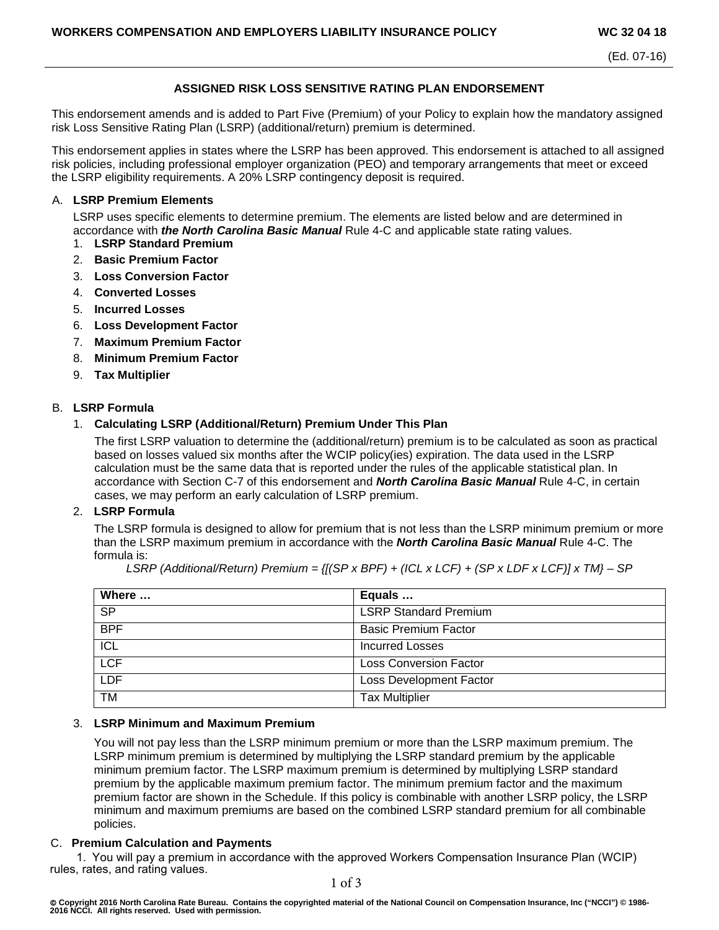(Ed. 07-16)

## **ASSIGNED RISK LOSS SENSITIVE RATING PLAN ENDORSEMENT**

This endorsement amends and is added to Part Five (Premium) of your Policy to explain how the mandatory assigned risk Loss Sensitive Rating Plan (LSRP) (additional/return) premium is determined.

This endorsement applies in states where the LSRP has been approved. This endorsement is attached to all assigned risk policies, including professional employer organization (PEO) and temporary arrangements that meet or exceed the LSRP eligibility requirements. A 20% LSRP contingency deposit is required.

#### A. **LSRP Premium Elements**

LSRP uses specific elements to determine premium. The elements are listed below and are determined in accordance with *the North Carolina Basic Manual* Rule 4-C and applicable state rating values.

- 1. **LSRP Standard Premium**
- 2. **Basic Premium Factor**
- 3. **Loss Conversion Factor**
- 4. **Converted Losses**
- 5. **Incurred Losses**
- 6. **Loss Development Factor**
- 7. **Maximum Premium Factor**
- 8. **Minimum Premium Factor**
- 9. **Tax Multiplier**

### B. **LSRP Formula**

### 1. **Calculating LSRP (Additional/Return) Premium Under This Plan**

The first LSRP valuation to determine the (additional/return) premium is to be calculated as soon as practical based on losses valued six months after the WCIP policy(ies) expiration. The data used in the LSRP calculation must be the same data that is reported under the rules of the applicable statistical plan. In accordance with Section C-7 of this endorsement and *North Carolina Basic Manual* Rule 4-C, in certain cases, we may perform an early calculation of LSRP premium.

#### 2. **LSRP Formula**

The LSRP formula is designed to allow for premium that is not less than the LSRP minimum premium or more than the LSRP maximum premium in accordance with the *North Carolina Basic Manual* Rule 4-C. The formula is:

| Where      | Equals                        |
|------------|-------------------------------|
| SP         | <b>LSRP Standard Premium</b>  |
| <b>BPF</b> | <b>Basic Premium Factor</b>   |
| <b>ICL</b> | <b>Incurred Losses</b>        |
| <b>LCF</b> | <b>Loss Conversion Factor</b> |
| <b>LDF</b> | Loss Development Factor       |
| TM         | <b>Tax Multiplier</b>         |

*LSRP (Additional/Return) Premium = {[(SP x BPF) + (ICL x LCF) + (SP x LDF x LCF)] x TM} – SP*

## 3. **LSRP Minimum and Maximum Premium**

You will not pay less than the LSRP minimum premium or more than the LSRP maximum premium. The LSRP minimum premium is determined by multiplying the LSRP standard premium by the applicable minimum premium factor. The LSRP maximum premium is determined by multiplying LSRP standard premium by the applicable maximum premium factor. The minimum premium factor and the maximum premium factor are shown in the Schedule. If this policy is combinable with another LSRP policy, the LSRP minimum and maximum premiums are based on the combined LSRP standard premium for all combinable policies.

#### C. **Premium Calculation and Payments**

1. You will pay a premium in accordance with the approved Workers Compensation Insurance Plan (WCIP) rules, rates, and rating values.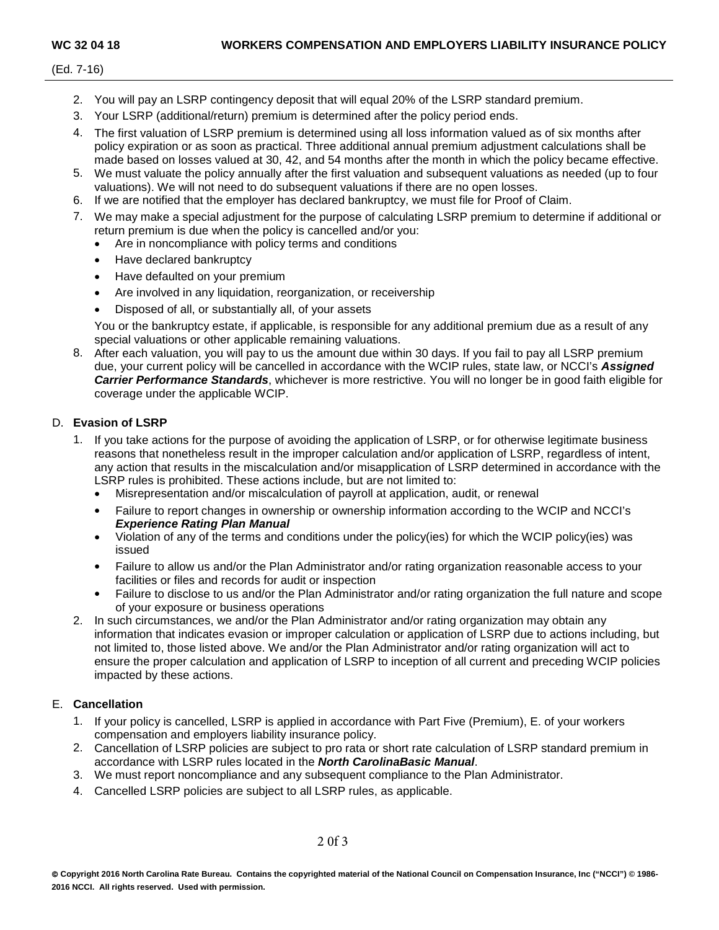- 2. You will pay an LSRP contingency deposit that will equal 20% of the LSRP standard premium.
- 3. Your LSRP (additional/return) premium is determined after the policy period ends.
- 4. The first valuation of LSRP premium is determined using all loss information valued as of six months after policy expiration or as soon as practical. Three additional annual premium adjustment calculations shall be made based on losses valued at 30, 42, and 54 months after the month in which the policy became effective.
- 5. We must valuate the policy annually after the first valuation and subsequent valuations as needed (up to four valuations). We will not need to do subsequent valuations if there are no open losses.
- 6. If we are notified that the employer has declared bankruptcy, we must file for Proof of Claim.
- 7. We may make a special adjustment for the purpose of calculating LSRP premium to determine if additional or return premium is due when the policy is cancelled and/or you:
	- Are in noncompliance with policy terms and conditions
	- Have declared bankruptcy
	- Have defaulted on your premium
	- Are involved in any liquidation, reorganization, or receivership
	- Disposed of all, or substantially all, of your assets

You or the bankruptcy estate, if applicable, is responsible for any additional premium due as a result of any special valuations or other applicable remaining valuations.

8. After each valuation, you will pay to us the amount due within 30 days. If you fail to pay all LSRP premium due, your current policy will be cancelled in accordance with the WCIP rules, state law, or NCCI's *Assigned Carrier Performance Standards*, whichever is more restrictive. You will no longer be in good faith eligible for coverage under the applicable WCIP.

## D. **Evasion of LSRP**

- 1. If you take actions for the purpose of avoiding the application of LSRP, or for otherwise legitimate business reasons that nonetheless result in the improper calculation and/or application of LSRP, regardless of intent, any action that results in the miscalculation and/or misapplication of LSRP determined in accordance with the LSRP rules is prohibited. These actions include, but are not limited to:
	- Misrepresentation and/or miscalculation of payroll at application, audit, or renewal
	- Failure to report changes in ownership or ownership information according to the WCIP and NCCI's *Experience Rating Plan Manual*
	- Violation of any of the terms and conditions under the policy(ies) for which the WCIP policy(ies) was issued
	- Failure to allow us and/or the Plan Administrator and/or rating organization reasonable access to your facilities or files and records for audit or inspection
	- Failure to disclose to us and/or the Plan Administrator and/or rating organization the full nature and scope of your exposure or business operations
- 2. In such circumstances, we and/or the Plan Administrator and/or rating organization may obtain any information that indicates evasion or improper calculation or application of LSRP due to actions including, but not limited to, those listed above. We and/or the Plan Administrator and/or rating organization will act to ensure the proper calculation and application of LSRP to inception of all current and preceding WCIP policies impacted by these actions.

# E. **Cancellation**

- 1. If your policy is cancelled, LSRP is applied in accordance with Part Five (Premium), E. of your workers compensation and employers liability insurance policy.
- 2. Cancellation of LSRP policies are subject to pro rata or short rate calculation of LSRP standard premium in accordance with LSRP rules located in the *North CarolinaBasic Manual*.
- 3. We must report noncompliance and any subsequent compliance to the Plan Administrator.
- 4. Cancelled LSRP policies are subject to all LSRP rules, as applicable.

2 0f 3